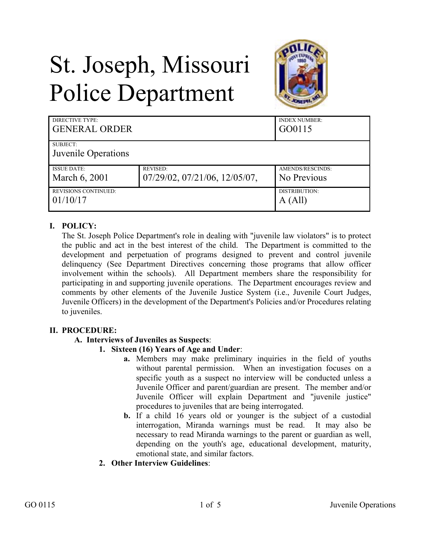# St. Joseph, Missouri Police Department



| DIRECTIVE TYPE:<br><b>GENERAL ORDER</b> |                               | <b>INDEX NUMBER:</b><br>GO0115 |
|-----------------------------------------|-------------------------------|--------------------------------|
| SUBJECT:                                |                               |                                |
| Juvenile Operations                     |                               |                                |
| <b>ISSUE DATE:</b>                      | <b>REVISED:</b>               | AMENDS/RESCINDS:               |
| March 6, 2001                           | 07/29/02, 07/21/06, 12/05/07, | No Previous                    |
| <b>REVISIONS CONTINUED:</b>             |                               | DISTRIBUTION:                  |
| 01/10/17                                |                               | A (All)                        |

## **I. POLICY:**

The St. Joseph Police Department's role in dealing with "juvenile law violators" is to protect the public and act in the best interest of the child. The Department is committed to the development and perpetuation of programs designed to prevent and control juvenile delinquency (See Department Directives concerning those programs that allow officer involvement within the schools). All Department members share the responsibility for participating in and supporting juvenile operations. The Department encourages review and comments by other elements of the Juvenile Justice System (i.e., Juvenile Court Judges, Juvenile Officers) in the development of the Department's Policies and/or Procedures relating to juveniles.

### **II. PROCEDURE:**

### **A. Interviews of Juveniles as Suspects**:

### **1. Sixteen (16) Years of Age and Under**:

- **a.** Members may make preliminary inquiries in the field of youths without parental permission. When an investigation focuses on a specific youth as a suspect no interview will be conducted unless a Juvenile Officer and parent/guardian are present. The member and/or Juvenile Officer will explain Department and "juvenile justice" procedures to juveniles that are being interrogated.
- **b.** If a child 16 years old or younger is the subject of a custodial interrogation, Miranda warnings must be read. It may also be necessary to read Miranda warnings to the parent or guardian as well, depending on the youth's age, educational development, maturity, emotional state, and similar factors.
- **2. Other Interview Guidelines**: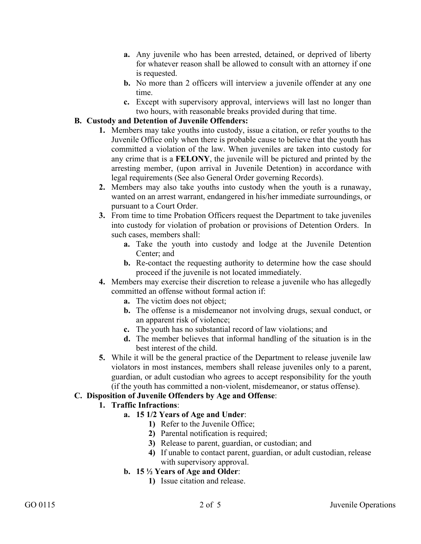- **a.** Any juvenile who has been arrested, detained, or deprived of liberty for whatever reason shall be allowed to consult with an attorney if one is requested.
- **b.** No more than 2 officers will interview a juvenile offender at any one time.
- **c.** Except with supervisory approval, interviews will last no longer than two hours, with reasonable breaks provided during that time.

## **B. Custody and Detention of Juvenile Offenders:**

- **1.** Members may take youths into custody, issue a citation, or refer youths to the Juvenile Office only when there is probable cause to believe that the youth has committed a violation of the law. When juveniles are taken into custody for any crime that is a **FELONY**, the juvenile will be pictured and printed by the arresting member, (upon arrival in Juvenile Detention) in accordance with legal requirements (See also General Order governing Records).
- **2.** Members may also take youths into custody when the youth is a runaway, wanted on an arrest warrant, endangered in his/her immediate surroundings, or pursuant to a Court Order.
- **3.** From time to time Probation Officers request the Department to take juveniles into custody for violation of probation or provisions of Detention Orders. In such cases, members shall:
	- **a.** Take the youth into custody and lodge at the Juvenile Detention Center; and
	- **b.** Re-contact the requesting authority to determine how the case should proceed if the juvenile is not located immediately.
- **4.** Members may exercise their discretion to release a juvenile who has allegedly committed an offense without formal action if:
	- **a.** The victim does not object;
	- **b.** The offense is a misdemeanor not involving drugs, sexual conduct, or an apparent risk of violence;
	- **c.** The youth has no substantial record of law violations; and
	- **d.** The member believes that informal handling of the situation is in the best interest of the child.
- **5.** While it will be the general practice of the Department to release juvenile law violators in most instances, members shall release juveniles only to a parent, guardian, or adult custodian who agrees to accept responsibility for the youth (if the youth has committed a non-violent, misdemeanor, or status offense).

# **C. Disposition of Juvenile Offenders by Age and Offense**:

# **1. Traffic Infractions**:

- **a. 15 1/2 Years of Age and Under**:
	- **1)** Refer to the Juvenile Office;
	- **2)** Parental notification is required;
	- **3)** Release to parent, guardian, or custodian; and
	- **4)** If unable to contact parent, guardian, or adult custodian, release with supervisory approval.
- **b. 15 ½ Years of Age and Older**:
	- **1)** Issue citation and release.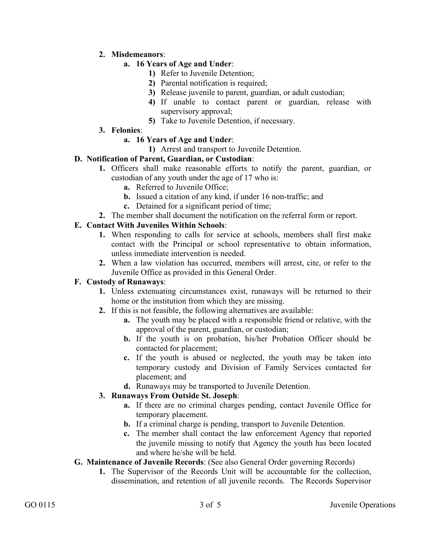## **2. Misdemeanors**:

## **a. 16 Years of Age and Under**:

- **1)** Refer to Juvenile Detention;
- **2)** Parental notification is required;
- **3)** Release juvenile to parent, guardian, or adult custodian;
- **4)** If unable to contact parent or guardian, release with supervisory approval;
- **5)** Take to Juvenile Detention, if necessary.
- **3. Felonies**:

# **a. 16 Years of Age and Under**:

**1)** Arrest and transport to Juvenile Detention.

## **D. Notification of Parent, Guardian, or Custodian**:

- **1.** Officers shall make reasonable efforts to notify the parent, guardian, or custodian of any youth under the age of 17 who is:
	- **a.** Referred to Juvenile Office;
	- **b.** Issued a citation of any kind, if under 16 non-traffic; and
	- **c.** Detained for a significant period of time;
- **2.** The member shall document the notification on the referral form or report.

## **E. Contact With Juveniles Within Schools**:

- **1.** When responding to calls for service at schools, members shall first make contact with the Principal or school representative to obtain information, unless immediate intervention is needed.
- **2.** When a law violation has occurred, members will arrest, cite, or refer to the Juvenile Office as provided in this General Order.

### **F. Custody of Runaways**:

- **1.** Unless extenuating circumstances exist, runaways will be returned to their home or the institution from which they are missing.
- **2.** If this is not feasible, the following alternatives are available:
	- **a.** The youth may be placed with a responsible friend or relative, with the approval of the parent, guardian, or custodian;
	- **b.** If the youth is on probation, his/her Probation Officer should be contacted for placement;
	- **c.** If the youth is abused or neglected, the youth may be taken into temporary custody and Division of Family Services contacted for placement; and
	- **d.** Runaways may be transported to Juvenile Detention.

### **3. Runaways From Outside St. Joseph**:

- **a.** If there are no criminal charges pending, contact Juvenile Office for temporary placement.
- **b.** If a criminal charge is pending, transport to Juvenile Detention.
- **c.** The member shall contact the law enforcement Agency that reported the juvenile missing to notify that Agency the youth has been located and where he/she will be held.

### **G. Maintenance of Juvenile Records**: (See also General Order governing Records)

**1.** The Supervisor of the Records Unit will be accountable for the collection, dissemination, and retention of all juvenile records. The Records Supervisor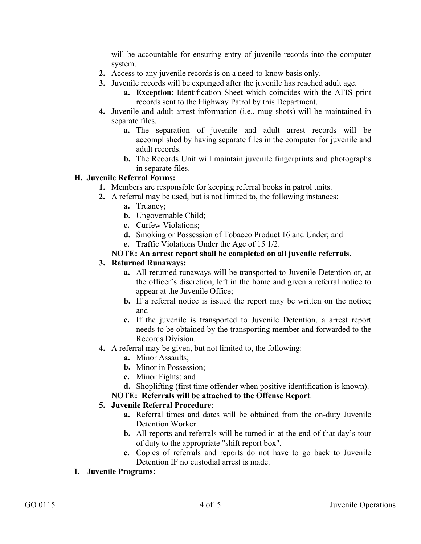will be accountable for ensuring entry of juvenile records into the computer system.

- **2.** Access to any juvenile records is on a need-to-know basis only.
- **3.** Juvenile records will be expunged after the juvenile has reached adult age.
	- **a. Exception**: Identification Sheet which coincides with the AFIS print records sent to the Highway Patrol by this Department.
- **4.** Juvenile and adult arrest information (i.e., mug shots) will be maintained in separate files.
	- **a.** The separation of juvenile and adult arrest records will be accomplished by having separate files in the computer for juvenile and adult records.
	- **b.** The Records Unit will maintain juvenile fingerprints and photographs in separate files.

## **H. Juvenile Referral Forms:**

- **1.** Members are responsible for keeping referral books in patrol units.
- **2.** A referral may be used, but is not limited to, the following instances:
	- **a.** Truancy;
	- **b.** Ungovernable Child;
	- **c.** Curfew Violations;
	- **d.** Smoking or Possession of Tobacco Product 16 and Under; and
	- **e.** Traffic Violations Under the Age of 15 1/2.

## **NOTE: An arrest report shall be completed on all juvenile referrals.**

### **3. Returned Runaways:**

- **a.** All returned runaways will be transported to Juvenile Detention or, at the officer's discretion, left in the home and given a referral notice to appear at the Juvenile Office;
- **b.** If a referral notice is issued the report may be written on the notice; and
- **c.** If the juvenile is transported to Juvenile Detention, a arrest report needs to be obtained by the transporting member and forwarded to the Records Division.
- **4.** A referral may be given, but not limited to, the following:
	- **a.** Minor Assaults;
	- **b.** Minor in Possession;
	- **c.** Minor Fights; and
	- **d.** Shoplifting (first time offender when positive identification is known).

### **NOTE: Referrals will be attached to the Offense Report**.

### **5. Juvenile Referral Procedure**:

- **a.** Referral times and dates will be obtained from the on-duty Juvenile Detention Worker.
- **b.** All reports and referrals will be turned in at the end of that day's tour of duty to the appropriate "shift report box".
- **c.** Copies of referrals and reports do not have to go back to Juvenile Detention IF no custodial arrest is made.

### **I. Juvenile Programs:**